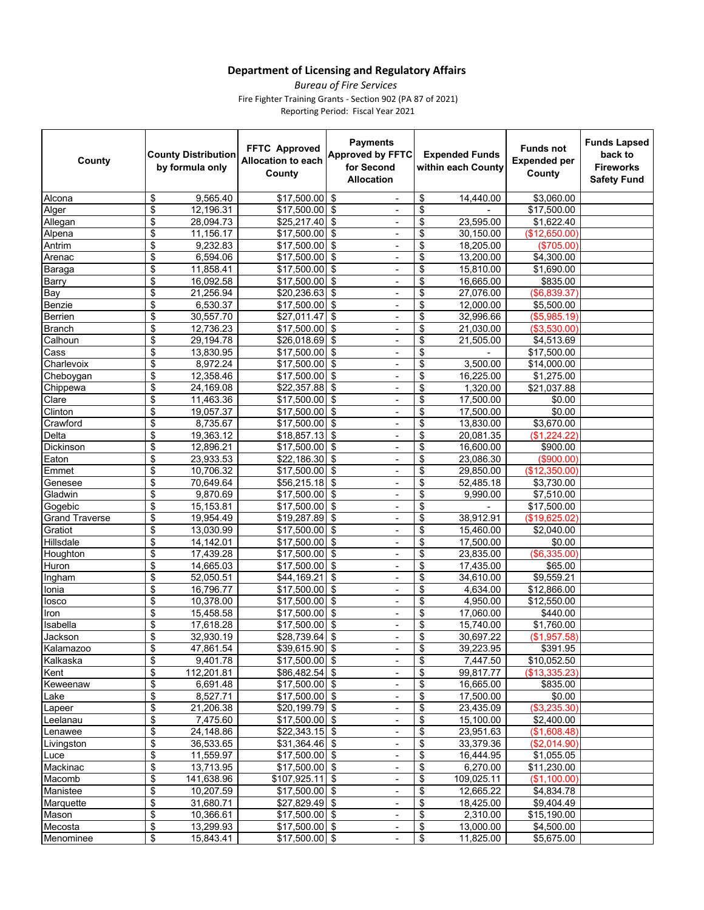## **Department of Licensing and Regulatory Affairs**

Reporting Period: Fiscal Year 2021 *Bureau of Fire Services*  Fire Fighter Training Grants - Section 902 (PA 87 of 2021)

| County                | <b>County Distribution</b><br>by formula only | <b>FFTC Approved</b><br><b>Allocation to each</b><br>County | <b>Payments</b><br><b>Approved by FFTC</b><br>for Second<br><b>Allocation</b> | <b>Expended Funds</b><br>within each County | <b>Funds not</b><br><b>Expended per</b><br>County | <b>Funds Lapsed</b><br>back to<br><b>Fireworks</b><br><b>Safety Fund</b> |
|-----------------------|-----------------------------------------------|-------------------------------------------------------------|-------------------------------------------------------------------------------|---------------------------------------------|---------------------------------------------------|--------------------------------------------------------------------------|
| Alcona                | 9,565.40<br>\$                                | $$17,500.00$ \$                                             |                                                                               | \$<br>14,440.00                             | \$3,060.00                                        |                                                                          |
| Alger                 | \$<br>$\overline{12}$ , 196.31                | $$17,500.00$ \$                                             | ۰                                                                             | \$                                          | \$17,500.00                                       |                                                                          |
| Allegan               | \$<br>28,094.73                               | $$25,217.40$ \\$                                            | ٠                                                                             | \$<br>23,595.00                             | \$1,622.40                                        |                                                                          |
| Alpena                | \$<br>11,156.17                               | $$17,500.00$ \$                                             | ٠                                                                             | \$<br>30,150.00                             | (\$12,650.00)                                     |                                                                          |
| Antrim                | \$<br>9,232.83                                | $$17,500.00$ \$                                             | $\blacksquare$                                                                | \$<br>18,205.00                             | (\$705.00)                                        |                                                                          |
| Arenac                | \$<br>6,594.06                                | $$17,500.00$ \$                                             | ٠                                                                             | \$<br>13,200.00                             | \$4,300.00                                        |                                                                          |
| Baraga                | \$<br>11,858.41                               | $$17,500.00$ \$                                             | ٠                                                                             | \$<br>15,810.00                             | \$1,690.00                                        |                                                                          |
| Barry                 | \$<br>16,092.58                               | \$17,500.00                                                 | \$<br>٠                                                                       | \$<br>16,665.00                             | \$835.00                                          |                                                                          |
| Bay                   | \$<br>$\overline{21}$ , 256.94                | $$20,236.63$ \$                                             | $\overline{\phantom{a}}$                                                      | \$<br>27,076.00                             | (\$6,839.37)                                      |                                                                          |
| Benzie                | \$<br>6,530.37                                | $$17,500.00$ \$                                             | -                                                                             | \$<br>12,000.00                             | \$5,500.00                                        |                                                                          |
| Berrien               | \$<br>30,557.70                               | \$27,011.47                                                 | \$<br>٠                                                                       | \$<br>32,996.66                             | (\$5,985.19)                                      |                                                                          |
| <b>Branch</b>         | \$<br>12,736.23                               | \$17,500.00                                                 | \$<br>$\overline{\phantom{a}}$                                                | \$<br>21,030.00                             | (\$3,530.00)                                      |                                                                          |
| Calhoun               | \$<br>29,194.78                               | \$26,018.69                                                 | \$<br>٠                                                                       | \$<br>21,505.00                             | \$4,513.69                                        |                                                                          |
| Cass                  | \$<br>13,830.95                               | $$17,500.00$ \$                                             | ٠                                                                             | \$<br>$\sim$                                | \$17,500.00                                       |                                                                          |
| Charlevoix            | \$<br>8,972.24                                | \$17,500.00                                                 | \$<br>٠                                                                       | $\boldsymbol{\mathsf{S}}$<br>3,500.00       | \$14,000.00                                       |                                                                          |
| Cheboygan             | \$<br>12,358.46                               | $$17,500.00$ \$                                             | ÷,                                                                            | \$<br>16,225.00                             | \$1,275.00                                        |                                                                          |
| Chippewa              | \$<br>24,169.08                               | \$22,357.88                                                 | \$<br>$\overline{\phantom{0}}$                                                | \$<br>1,320.00                              | \$21,037.88                                       |                                                                          |
| Clare                 | \$<br>11,463.36                               | $$17,500.00$ \$                                             | ٠                                                                             | \$<br>17,500.00                             | \$0.00                                            |                                                                          |
| Clinton               | \$<br>19,057.37                               | $$17,500.00$ \$                                             | ٠                                                                             | $\boldsymbol{\mathsf{S}}$<br>17,500.00      | \$0.00                                            |                                                                          |
| Crawford              | \$<br>8,735.67                                | $$17,500.00$ \$                                             | ٠                                                                             | \$<br>13,830.00                             | \$3,670.00                                        |                                                                          |
| Delta                 | \$<br>19,363.12                               | $$18,857.13$ \\$                                            | ä,                                                                            | \$<br>20,081.35                             | (\$1,224.22)                                      |                                                                          |
| Dickinson             | \$<br>12,896.21                               | $$17,500.00$ \$                                             | ٠                                                                             | \$<br>16,600.00                             | \$900.00                                          |                                                                          |
| Eaton                 | \$<br>23,933.53                               | $$22,186.30$ \$                                             | ٠                                                                             | \$<br>23,086.30                             | $($ \$900.00)                                     |                                                                          |
| Emmet                 | \$<br>10,706.32                               | \$17,500.00                                                 | \$<br>٠                                                                       | \$<br>29,850.00                             | (\$12,350.00)                                     |                                                                          |
| Genesee               | \$<br>70,649.64                               | $$56,215.18$ \$                                             | ٠                                                                             | \$<br>52,485.18                             | \$3,730.00                                        |                                                                          |
| Gladwin               | \$<br>9,870.69                                | \$17,500.00                                                 | \$<br>٠                                                                       | \$<br>9,990.00                              | \$7,510.00                                        |                                                                          |
| Gogebic               | \$<br>15,153.81                               | $$17,500.00$ \$                                             | $\overline{\phantom{a}}$                                                      | \$                                          | \$17,500.00                                       |                                                                          |
| <b>Grand Traverse</b> | \$<br>19,954.49                               | $$19,287.89$ \$                                             | ٠                                                                             | \$<br>38,912.91                             | (\$19,625.02)                                     |                                                                          |
| Gratiot               | \$<br>13,030.99                               | $$17,500.00$ \$                                             | ٠                                                                             | \$<br>15,460.00                             | \$2,040.00                                        |                                                                          |
| Hillsdale             | \$<br>14,142.01                               | $$17,500.00$ \$                                             | ÷,                                                                            | \$<br>17,500.00                             | \$0.00                                            |                                                                          |
| Houghton              | \$<br>17,439.28                               | $$17,500.00$ \$                                             | ٠                                                                             | \$<br>23,835.00                             | (\$6,335.00)                                      |                                                                          |
| Huron                 | \$<br>14,665.03                               | $$17,500.00$ \$                                             |                                                                               | \$<br>17,435.00                             | \$65.00                                           |                                                                          |
| Ingham                | \$<br>52,050.51                               | \$44,169.21                                                 | \$<br>٠                                                                       | \$<br>34,610.00                             | \$9,559.21                                        |                                                                          |
| Ionia                 | \$<br>16,796.77                               | $$17,500.00$ \$                                             | $\overline{\phantom{a}}$                                                      | \$<br>4,634.00                              | \$12,866.00                                       |                                                                          |
| losco                 | \$<br>10,378.00                               | $$17,500.00$ \$                                             | ٠                                                                             | $\boldsymbol{\mathsf{S}}$<br>4,950.00       | \$12,550.00                                       |                                                                          |
| Iron                  | \$<br>15,458.58                               | $$17,500.00$ \$                                             | ٠                                                                             | \$<br>17,060.00                             | \$440.00                                          |                                                                          |
| Isabella              | \$<br>17,618.28                               | \$17,500.00                                                 | \$<br>L.                                                                      | \$<br>15,740.00                             | \$1,760.00                                        |                                                                          |
| Jackson               | \$<br>32,930.19                               | \$28,739.64                                                 | \$<br>÷,                                                                      | \$<br>30,697.22                             | (\$1,957.58)                                      |                                                                          |
| Kalamazoo             | \$<br>47,861.54                               | \$39,615.90 \$                                              | $\overline{\phantom{0}}$                                                      | \$<br>39,223.95                             | \$391.95                                          |                                                                          |
| Kalkaska              | \$<br>9,401.78                                | $$17,500.00$ \$                                             |                                                                               | \$<br>7,447.50                              | \$10,052.50                                       |                                                                          |
| Kent                  | \$<br>112,201.81                              | $$86,482.54$ \ \$                                           | ÷,                                                                            | \$<br>99,817.77                             | (\$13,335.23)                                     |                                                                          |
| Keweenaw              | \$<br>6,691.48                                | $$17,500.00$ \ \$                                           | ٠                                                                             | \$<br>16,665.00                             | \$835.00                                          |                                                                          |
| Lake                  | \$<br>8,527.71                                | $$17,500.00$ \ \$                                           |                                                                               | \$<br>17,500.00                             | \$0.00                                            |                                                                          |
| Lapeer                | \$<br>21,206.38                               | $$20,199.79$ \$                                             | ÷,                                                                            | $\boldsymbol{\mathsf{S}}$<br>23,435.09      | (\$3,235.30)                                      |                                                                          |
| Leelanau              | \$<br>7,475.60                                | $$17,500.00$ \$                                             | ۰                                                                             | \$<br>15,100.00                             | \$2,400.00                                        |                                                                          |
| Lenawee               | \$<br>24,148.86                               | $$22,343.15$ \$                                             | ÷,                                                                            | \$<br>23,951.63                             | (\$1,608.48)                                      |                                                                          |
| Livingston            | \$<br>36,533.65                               | $$31,364.46$ \$                                             | ٠                                                                             | $\boldsymbol{\mathsf{S}}$<br>33,379.36      | (\$2,014.90)                                      |                                                                          |
| Luce                  | \$<br>11,559.97                               | $$17,500.00$ \$                                             | $\overline{\phantom{a}}$                                                      | $\boldsymbol{\mathsf{S}}$<br>16,444.95      | \$1,055.05                                        |                                                                          |
| Mackinac              | \$<br>13,713.95                               | $$17,500.00$ \$                                             | $\overline{\phantom{0}}$                                                      | \$<br>6,270.00                              | \$11,230.00                                       |                                                                          |
| Macomb                | \$<br>141,638.96                              | $$107,925.11$ \ \$                                          | -                                                                             | \$<br>109,025.11                            | (\$1,100.00)                                      |                                                                          |
| Manistee              | \$<br>10,207.59                               | $$17,500.00$ \$                                             |                                                                               | $\boldsymbol{\mathsf{S}}$<br>12,665.22      | \$4.834.78                                        |                                                                          |
| Marquette             | \$<br>31,680.71                               | $$27,829.49$ \\$                                            | $\overline{\phantom{a}}$                                                      | \$<br>18,425.00                             | \$9,404.49                                        |                                                                          |
| Mason                 | \$<br>10,366.61                               | $$17,500.00$ \$                                             | $\overline{\phantom{0}}$                                                      | \$<br>2,310.00                              | \$15,190.00                                       |                                                                          |
| Mecosta               | \$<br>13,299.93                               | $$17,500.00$ \$                                             | ٠                                                                             | \$<br>13,000.00                             | \$4,500.00                                        |                                                                          |
| Menominee             | \$<br>15,843.41                               | $$17,500.00$ \ \$                                           | $\overline{a}$                                                                | \$<br>11,825.00                             | \$5,675.00                                        |                                                                          |